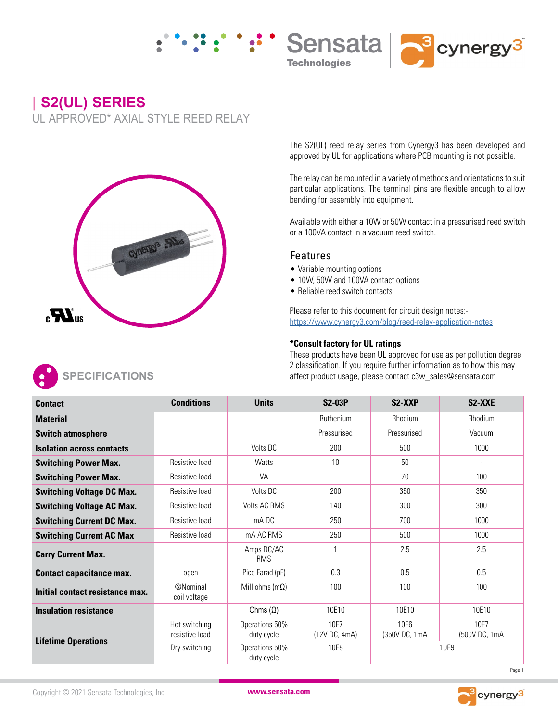





**| S2(UL) SERIES** UL APPROVED\* AXIAL STYLE REED RELAY



The S2(UL) reed relay series from Cynergy3 has been developed and approved by UL for applications where PCB mounting is not possible.

The relay can be mounted in a variety of methods and orientations to suit particular applications. The terminal pins are flexible enough to allow bending for assembly into equipment.

Available with either a 10W or 50W contact in a pressurised reed switch or a 100VA contact in a vacuum reed switch.

## Features

- Variable mounting options
- 10W, 50W and 100VA contact options
- Reliable reed switch contacts

Please refer to this document for circuit design notes: https://www.cynergy3.com/blog/reed-relay-application-notes

## **\*Consult factory for UL ratings**

These products have been UL approved for use as per pollution degree 2 classification. If you require further information as to how this may affect product usage, please contact c3w\_sales@sensata.com

| <b>Contact</b>                   | <b>Conditions</b>               | <b>Units</b>                 | <b>S2-03P</b>         | S <sub>2</sub> -X <sub>X</sub> P | S2-XXE                |
|----------------------------------|---------------------------------|------------------------------|-----------------------|----------------------------------|-----------------------|
| <b>Material</b>                  |                                 |                              | Ruthenium             | Rhodium                          | <b>Rhodium</b>        |
| <b>Switch atmosphere</b>         |                                 |                              | Pressurised           | Pressurised                      | Vacuum                |
| <b>Isolation across contacts</b> |                                 | Volts DC                     | 200                   | 500                              | 1000                  |
| <b>Switching Power Max.</b>      | Resistive load                  | Watts                        | 10                    | 50                               |                       |
| <b>Switching Power Max.</b>      | Resistive load                  | <b>VA</b>                    | $\blacksquare$        | 70                               | 100                   |
| <b>Switching Voltage DC Max.</b> | Resistive load                  | Volts DC                     | 200                   | 350                              | 350                   |
| <b>Switching Voltage AC Max.</b> | Resistive load                  | <b>Volts AC RMS</b>          | 140                   | 300                              | 300                   |
| <b>Switching Current DC Max.</b> | Resistive load                  | mA DC                        | 250                   | 700                              | 1000                  |
| <b>Switching Current AC Max</b>  | Resistive load                  | mA AC RMS                    | 250                   | 500                              | 1000                  |
| <b>Carry Current Max.</b>        |                                 | Amps DC/AC<br><b>RMS</b>     |                       | 2.5                              | 2.5                   |
| <b>Contact capacitance max.</b>  | open                            | Pico Farad (pF)              | 0.3                   | 0.5                              | 0.5                   |
| Initial contact resistance max.  | @Nominal<br>coil voltage        | Milliohms (m $\Omega$ )      | 100                   | 100                              | 100                   |
| <b>Insulation resistance</b>     |                                 | Ohms $(\Omega)$              | 10E10                 | 10E10                            | 10E10                 |
| <b>Lifetime Operations</b>       | Hot switching<br>resistive load | Operations 50%<br>duty cycle | 10E7<br>(12V DC, 4mA) | 10E6<br>(350V DC, 1mA            | 10E7<br>(500V DC, 1mA |
|                                  | Dry switching                   | Operations 50%<br>duty cycle | 10E8                  | 10E9                             |                       |